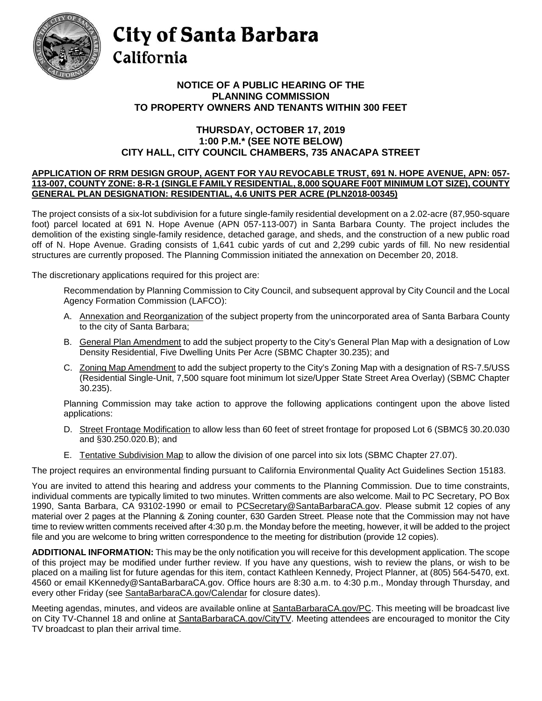

## City of Santa Barbara California

## **TO PROPERTY OWNERS AND TENANTS WITHIN 300 FEET NOTICE OF A PUBLIC HEARING OF THE PLANNING COMMISSION**

## **THURSDAY, OCTOBER 17, 2019 1:00 P.M.\* (SEE NOTE BELOW) CITY HALL, CITY COUNCIL CHAMBERS, 735 ANACAPA STREET**

## **APPLICATION OF RRM DESIGN GROUP, AGENT FOR YAU REVOCABLE TRUST, 691 N. HOPE AVENUE, APN: 057- 113-007, COUNTY ZONE: 8-R-1 (SINGLE FAMILY RESIDENTIAL, 8,000 SQUARE F00T MINIMUM LOT SIZE), COUNTY GENERAL PLAN DESIGNATION: RESIDENTIAL, 4.6 UNITS PER ACRE (PLN2018-00345)**

 off of N. Hope Avenue. Grading consists of 1,641 cubic yards of cut and 2,299 cubic yards of fill. No new residential structures are currently proposed. The Planning Commission initiated the annexation on December 20, 2018. The project consists of a six-lot subdivision for a future single-family residential development on a 2.02-acre (87,950-square foot) parcel located at 691 N. Hope Avenue (APN 057-113-007) in Santa Barbara County. The project includes the demolition of the existing single-family residence, detached garage, and sheds, and the construction of a new public road

The discretionary applications required for this project are:

 Recommendation by Planning Commission to City Council, and subsequent approval by City Council and the Local Agency Formation Commission (LAFCO):

- to the city of Santa Barbara; A. Annexation and Reorganization of the subject property from the unincorporated area of Santa Barbara County
- B. General Plan Amendment to add the subject property to the City's General Plan Map with a designation of Low Density Residential, Five Dwelling Units Per Acre (SBMC Chapter 30.235); and
- C. Zoning Map Amendment to add the subject property to the City's Zoning Map with a designation of RS-7.5/USS (Residential Single-Unit, 7,500 square foot minimum lot size/Upper State Street Area Overlay) (SBMC Chapter 30.235).

Planning Commission may take action to approve the following applications contingent upon the above listed applications:

- and §30.250.020.B); and D. Street Frontage Modification to allow less than 60 feet of street frontage for proposed Lot 6 (SBMC§ 30.20.030
- E. Tentative Subdivision Map to allow the division of one parcel into six lots (SBMC Chapter 27.07).

The project requires an environmental finding pursuant to California Environmental Quality Act Guidelines Section 15183.

 You are invited to attend this hearing and address your comments to the Planning Commission. Due to time constraints, individual comments are typically limited to two minutes. Written comments are also welcome. Mail to PC Secretary, PO Box file and you are welcome to bring written correspondence to the meeting for distribution (provide 12 copies). 1990, Santa Barbara, CA 93102-1990 or email to [PCSecretary@SantaBarbaraCA.gov.](mailto:PCSecretary@SantaBarbaraCA.gov) Please submit 12 copies of any material over 2 pages at the Planning & Zoning counter, 630 Garden Street. Please note that the Commission may not have time to review written comments received after 4:30 p.m. the Monday before the meeting, however, it will be added to the project

 of this project may be modified under further review. If you have any questions, wish to review the plans, or wish to be placed on a mailing list for future agendas for this item, contact Kathleen Kennedy, Project Planner, at (805) 564-5470, ext. **ADDITIONAL INFORMATION:** This may be the only notification you will receive for this development application. The scope 4560 or email KKennedy@SantaBarbaraCA.gov. Office hours are 8:30 a.m. to 4:30 p.m., Monday through Thursday, and every other Friday (see [SantaBarbaraCA.gov/Calendar](http://www.santabarbaraca.gov/cals/default.asp) for closure dates).

Meeting agendas, minutes, and videos are available online at <u>SantaBarbaraCA.gov/PC</u>. This meeting will be broadcast live on City TV-Channel 18 and online at <u>SantaBarbaraCA.gov/CityTV</u>. Meeting attendees are encouraged to monitor the City TV broadcast to plan their arrival time.